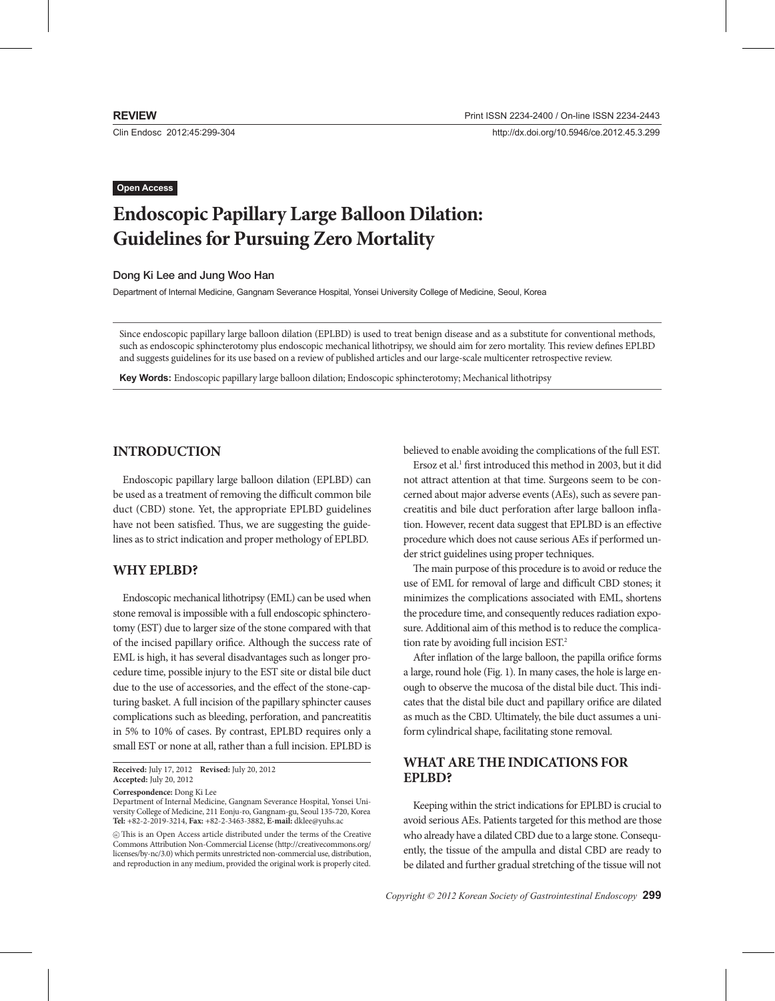Clin Endosc 2012;45:299-304

#### **Open Access**

# **Endoscopic Papillary Large Balloon Dilation: Guidelines for Pursuing Zero Mortality**

#### Dong Ki Lee and Jung Woo Han

Department of Internal Medicine, Gangnam Severance Hospital, Yonsei University College of Medicine, Seoul, Korea

Since endoscopic papillary large balloon dilation (EPLBD) is used to treat benign disease and as a substitute for conventional methods, such as endoscopic sphincterotomy plus endoscopic mechanical lithotripsy, we should aim for zero mortality. This review defines EPLBD and suggests guidelines for its use based on a review of published articles and our large-scale multicenter retrospective review.

**Key Words:** Endoscopic papillary large balloon dilation; Endoscopic sphincterotomy; Mechanical lithotripsy

# **INTRODUCTION**

Endoscopic papillary large balloon dilation (EPLBD) can be used as a treatment of removing the difficult common bile duct (CBD) stone. Yet, the appropriate EPLBD guidelines have not been satisfied. Thus, we are suggesting the guidelines as to strict indication and proper methology of EPLBD.

## **WHY EPLBD?**

Endoscopic mechanical lithotripsy (EML) can be used when stone removal is impossible with a full endoscopic sphincterotomy (EST) due to larger size of the stone compared with that of the incised papillary orifice. Although the success rate of EML is high, it has several disadvantages such as longer procedure time, possible injury to the EST site or distal bile duct due to the use of accessories, and the effect of the stone-capturing basket. A full incision of the papillary sphincter causes complications such as bleeding, perforation, and pancreatitis in 5% to 10% of cases. By contrast, EPLBD requires only a small EST or none at all, rather than a full incision. EPLBD is

**Correspondence:** Dong Ki Lee

cc This is an Open Access article distributed under the terms of the Creative Commons Attribution Non-Commercial License (http://creativecommons.org/ licenses/by-nc/3.0) which permits unrestricted non-commercial use, distribution, and reproduction in any medium, provided the original work is properly cited. believed to enable avoiding the complications of the full EST.

Ersoz et al.<sup>1</sup> first introduced this method in 2003, but it did not attract attention at that time. Surgeons seem to be concerned about major adverse events (AEs), such as severe pancreatitis and bile duct perforation after large balloon inflation. However, recent data suggest that EPLBD is an effective procedure which does not cause serious AEs if performed under strict guidelines using proper techniques.

The main purpose of this procedure is to avoid or reduce the use of EML for removal of large and difficult CBD stones; it minimizes the complications associated with EML, shortens the procedure time, and consequently reduces radiation exposure. Additional aim of this method is to reduce the complication rate by avoiding full incision EST.2

After inflation of the large balloon, the papilla orifice forms a large, round hole (Fig. 1). In many cases, the hole is large enough to observe the mucosa of the distal bile duct. This indicates that the distal bile duct and papillary orifice are dilated as much as the CBD. Ultimately, the bile duct assumes a uniform cylindrical shape, facilitating stone removal.

## **WHAT ARE THE INDICATIONS FOR EPLBD?**

Keeping within the strict indications for EPLBD is crucial to avoid serious AEs. Patients targeted for this method are those who already have a dilated CBD due to a large stone. Consequently, the tissue of the ampulla and distal CBD are ready to be dilated and further gradual stretching of the tissue will not

**Received:** July 17, 2012 **Revised:** July 20, 2012 **Accepted:** July 20, 2012

Department of Internal Medicine, Gangnam Severance Hospital, Yonsei University College of Medicine, 211 Eonju-ro, Gangnam-gu, Seoul 135-720, Korea **Tel:** +82-2-2019-3214, **Fax:** +82-2-3463-3882, **E-mail:** dklee@yuhs.ac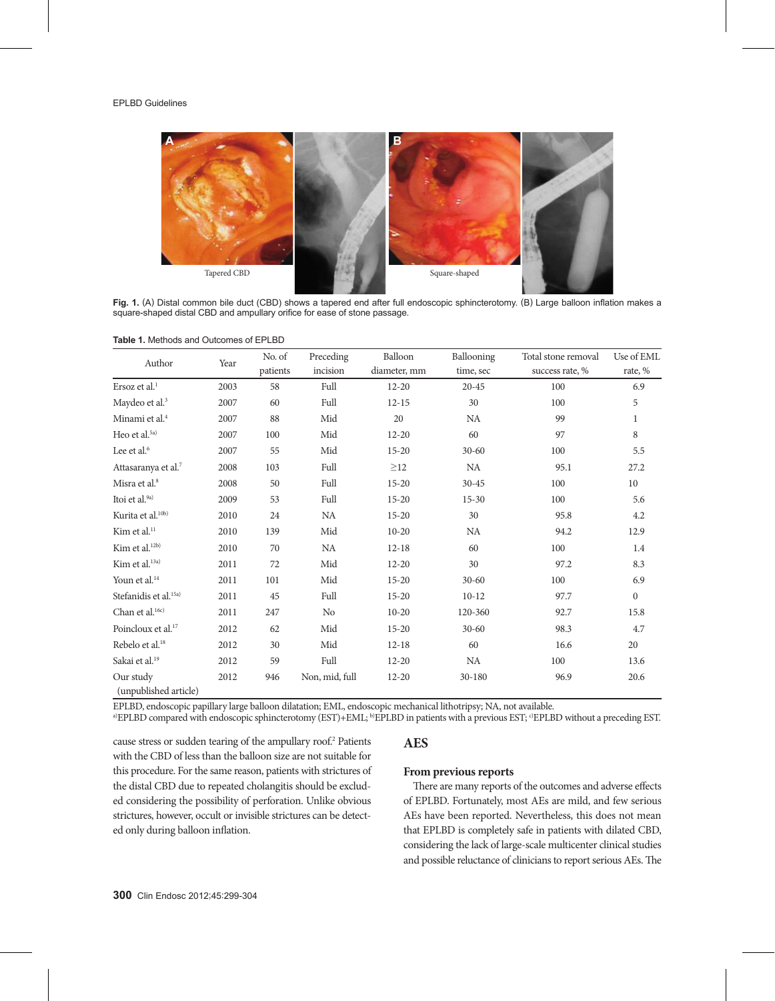

Fig. 1. (A) Distal common bile duct (CBD) shows a tapered end after full endoscopic sphincterotomy. (B) Large balloon inflation makes a square-shaped distal CBD and ampullary orifice for ease of stone passage.

| <b>Table 1.</b> Methods and Outcomes of EPLBD |  |
|-----------------------------------------------|--|
|-----------------------------------------------|--|

| Author                             |      | No. of   | Preceding      | Balloon      | Ballooning        | Total stone removal | Use of EML       |
|------------------------------------|------|----------|----------------|--------------|-------------------|---------------------|------------------|
|                                    | Year | patients | incision       | diameter, mm | time, sec         | success rate, %     | rate, %          |
| Ersoz et al. <sup>1</sup>          | 2003 | 58       | Full           | $12 - 20$    | $20 - 45$         | 100                 | 6.9              |
| Maydeo et al. <sup>3</sup>         | 2007 | 60       | Full           | $12 - 15$    | 30                | 100                 | 5                |
| Minami et al. <sup>4</sup>         | 2007 | 88       | Mid            | 20           | <b>NA</b>         | 99                  | $\mathbf{1}$     |
| Heo et al. <sup>5a)</sup>          | 2007 | 100      | Mid            | $12 - 20$    | 60                | 97                  | 8                |
| Lee et al. <sup>6</sup>            | 2007 | 55       | Mid            | $15 - 20$    | $30 - 60$         | 100                 | 5.5              |
| Attasaranya et al. <sup>7</sup>    | 2008 | 103      | Full           | $\geq$ 12    | NA                | 95.1                | 27.2             |
| Misra et al. <sup>8</sup>          | 2008 | 50       | Full           | $15 - 20$    | $30 - 45$<br>100  |                     | 10               |
| Itoi et al.9a)                     | 2009 | 53       | Full           | $15 - 20$    | $15 - 30$<br>100  |                     | 5.6              |
| Kurita et al. <sup>10b)</sup>      | 2010 | 24       | NA             | $15 - 20$    | 30<br>95.8        |                     | 4.2              |
| Kim et al. $11$                    | 2010 | 139      | Mid            | $10 - 20$    | 94.2<br><b>NA</b> |                     | 12.9             |
| Kim et al. <sup>12b)</sup>         | 2010 | 70       | <b>NA</b>      | $12 - 18$    | 100<br>60         |                     | 1.4              |
| Kim et al. <sup>13a)</sup>         | 2011 | 72       | Mid            | $12 - 20$    | 30                | 97.2                | 8.3              |
| Youn et al. <sup>14</sup>          | 2011 | 101      | Mid            | $15 - 20$    | $30 - 60$         | 100                 | 6.9              |
| Stefanidis et al. <sup>15a)</sup>  | 2011 | 45       | Full           | $15 - 20$    | $10-12$           | 97.7                | $\boldsymbol{0}$ |
| Chan et al. <sup>16c)</sup>        | 2011 | 247      | N <sub>0</sub> | $10 - 20$    | 120-360           | 92.7                | 15.8             |
| Poincloux et al. <sup>17</sup>     | 2012 | 62       | Mid            | $15 - 20$    | $30 - 60$         | 98.3                | 4.7              |
| Rebelo et al. <sup>18</sup>        | 2012 | 30       | Mid            | $12 - 18$    | 60                | 16.6                | 20               |
| Sakai et al. <sup>19</sup>         | 2012 | 59       | Full           | $12 - 20$    | NA                | 100                 | 13.6             |
| Our study<br>(unpublished article) | 2012 | 946      | Non, mid, full | $12 - 20$    | 30-180            | 96.9                | 20.6             |

EPLBD, endoscopic papillary large balloon dilatation; EML, endoscopic mechanical lithotripsy; NA, not available.

a)EPLBD compared with endoscopic sphincterotomy (EST)+EML; <sup>b)</sup>EPLBD in patients with a previous EST; <sup>c)</sup>EPLBD without a preceding EST.

cause stress or sudden tearing of the ampullary roof.<sup>2</sup> Patients with the CBD of less than the balloon size are not suitable for this procedure. For the same reason, patients with strictures of the distal CBD due to repeated cholangitis should be excluded considering the possibility of perforation. Unlike obvious strictures, however, occult or invisible strictures can be detected only during balloon inflation.

# **AES**

#### **From previous reports**

There are many reports of the outcomes and adverse effects of EPLBD. Fortunately, most AEs are mild, and few serious AEs have been reported. Nevertheless, this does not mean that EPLBD is completely safe in patients with dilated CBD, considering the lack of large-scale multicenter clinical studies and possible reluctance of clinicians to report serious AEs. The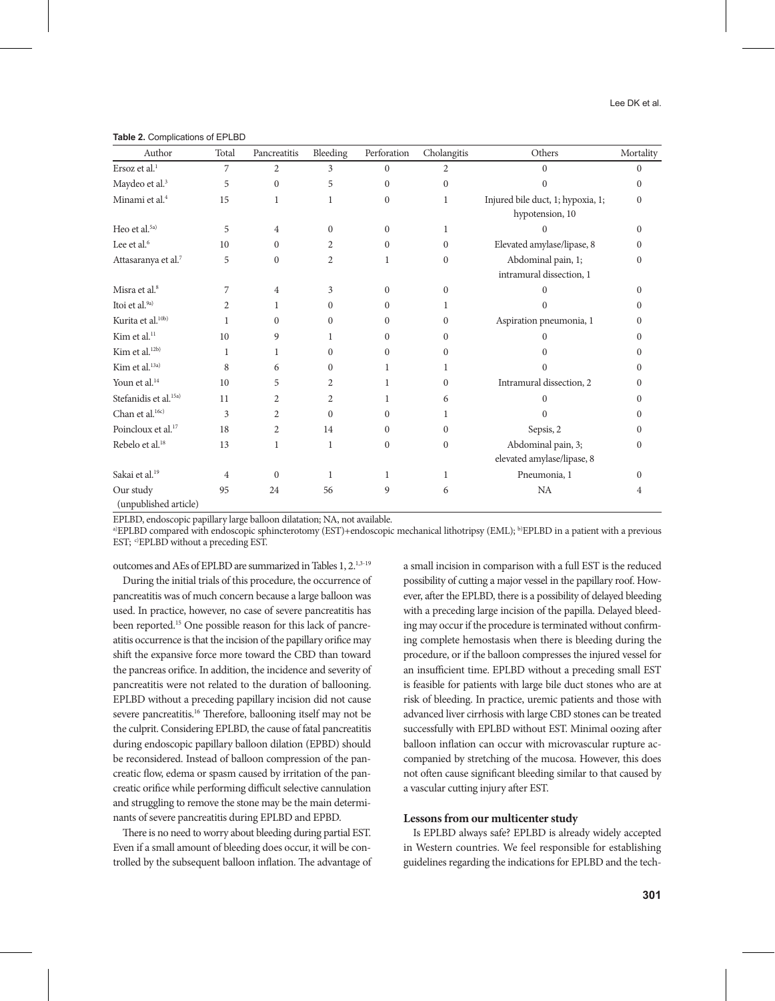**Table 2. Complications of FPLBD** 

| Author                             | Total | Pancreatitis     | Bleeding       | Perforation      | Cholangitis      | Others                                               | Mortality    |
|------------------------------------|-------|------------------|----------------|------------------|------------------|------------------------------------------------------|--------------|
| Ersoz et al. <sup>1</sup>          | 7     | $\overline{2}$   | 3              | $\mathbf{0}$     | $\overline{2}$   | $\Omega$                                             | $\theta$     |
| Maydeo et al. <sup>3</sup>         | 5     | $\boldsymbol{0}$ | 5              | $\Omega$         | $\Omega$         | $\Omega$                                             | $\theta$     |
| Minami et al. $4$                  | 15    | 1                | 1              | $\mathbf{0}$     | 1                | Injured bile duct, 1; hypoxia, 1;<br>hypotension, 10 | $\mathbf{0}$ |
| Heo et al. <sup>5a)</sup>          | 5     | 4                | $\Omega$       | $\mathbf{0}$     | 1                |                                                      | $\Omega$     |
| Lee et al. <sup>6</sup>            | 10    | $\mathbf{0}$     | 2              | $\mathbf{0}$     | $\overline{0}$   | Elevated amylase/lipase, 8                           | $\Omega$     |
| Attasaranya et al. <sup>7</sup>    | 5     | $\mathbf{0}$     | $\overline{2}$ | $\mathbf{1}$     | $\mathbf{0}$     | Abdominal pain, 1;<br>intramural dissection, 1       | $\mathbf{0}$ |
| Misra et al. <sup>8</sup>          | 7     | 4                | 3              | $\Omega$         | $\mathbf{0}$     |                                                      | $\Omega$     |
| Itoi et al. $\rm ^{9a)}$           | 2     | 1                | $\Omega$       | $\mathbf{0}$     | 1                | $\Omega$                                             | $\Omega$     |
| Kurita et al. <sup>10b)</sup>      | 1     | $\mathbf{0}$     | $\Omega$       | $\Omega$         | $\mathbf{0}$     | Aspiration pneumonia, 1                              | 0            |
| Kim et al. <sup>11</sup>           | 10    | 9                | 1              | $\Omega$         | $\overline{0}$   | O                                                    | $\Omega$     |
| Kim et al. <sup>12b)</sup>         | 1     | 1                | $\Omega$       | $\Omega$         | $\Omega$         | O                                                    | 0            |
| Kim et al. <sup>13a)</sup>         | 8     | 6                | $\Omega$       | 1                | 1                | $\Omega$                                             | 0            |
| Youn et al. <sup>14</sup>          | 10    | 5                | 2              | $\mathbf{1}$     | $\overline{0}$   | Intramural dissection, 2                             | 0            |
| Stefanidis et al. <sup>15a)</sup>  | 11    | 2                | 2              | 1                | 6                | $\Omega$                                             | $\Omega$     |
| Chan et al. <sup>16c)</sup>        | 3     | $\overline{2}$   | $\Omega$       | $\Omega$         | 1                | $\Omega$                                             | $\Omega$     |
| Poincloux et al. <sup>17</sup>     | 18    | 2                | 14             | $\Omega$         | $\Omega$         | Sepsis, 2                                            | $\Omega$     |
| Rebelo et al. <sup>18</sup>        | 13    | 1                | 1              | $\boldsymbol{0}$ | $\boldsymbol{0}$ | Abdominal pain, 3;                                   | $\mathbf{0}$ |
|                                    |       |                  |                |                  |                  | elevated amylase/lipase, 8                           |              |
| Sakai et al. <sup>19</sup>         | 4     | $\mathbf{0}$     | 1              | 1                | 1                | Pneumonia, 1                                         | 0            |
| Our study<br>(unpublished article) | 95    | 24               | 56             | 9                | 6                | NA                                                   | 4            |

EPLBD, endoscopic papillary large balloon dilatation; NA, not available.

a)EPLBD compared with endoscopic sphincterotomy (EST)+endoscopic mechanical lithotripsy (EML); <sup>b)</sup>EPLBD in a patient with a previous EST; <sup>c)</sup>EPLBD without a preceding EST.

outcomes and AEs of EPLBD are summarized in Tables 1, 2.<sup>1,3-19</sup>

During the initial trials of this procedure, the occurrence of pancreatitis was of much concern because a large balloon was used. In practice, however, no case of severe pancreatitis has been reported.15 One possible reason for this lack of pancreatitis occurrence is that the incision of the papillary orifice may shift the expansive force more toward the CBD than toward the pancreas orifice. In addition, the incidence and severity of pancreatitis were not related to the duration of ballooning. EPLBD without a preceding papillary incision did not cause severe pancreatitis.<sup>16</sup> Therefore, ballooning itself may not be the culprit. Considering EPLBD, the cause of fatal pancreatitis during endoscopic papillary balloon dilation (EPBD) should be reconsidered. Instead of balloon compression of the pancreatic flow, edema or spasm caused by irritation of the pancreatic orifice while performing difficult selective cannulation and struggling to remove the stone may be the main determinants of severe pancreatitis during EPLBD and EPBD.

There is no need to worry about bleeding during partial EST. Even if a small amount of bleeding does occur, it will be controlled by the subsequent balloon inflation. The advantage of a small incision in comparison with a full EST is the reduced possibility of cutting a major vessel in the papillary roof. However, after the EPLBD, there is a possibility of delayed bleeding with a preceding large incision of the papilla. Delayed bleeding may occur if the procedure is terminated without confirming complete hemostasis when there is bleeding during the procedure, or if the balloon compresses the injured vessel for an insufficient time. EPLBD without a preceding small EST is feasible for patients with large bile duct stones who are at risk of bleeding. In practice, uremic patients and those with advanced liver cirrhosis with large CBD stones can be treated successfully with EPLBD without EST. Minimal oozing after balloon inflation can occur with microvascular rupture accompanied by stretching of the mucosa. However, this does not often cause significant bleeding similar to that caused by a vascular cutting injury after EST.

#### **Lessons from our multicenter study**

Is EPLBD always safe? EPLBD is already widely accepted in Western countries. We feel responsible for establishing guidelines regarding the indications for EPLBD and the tech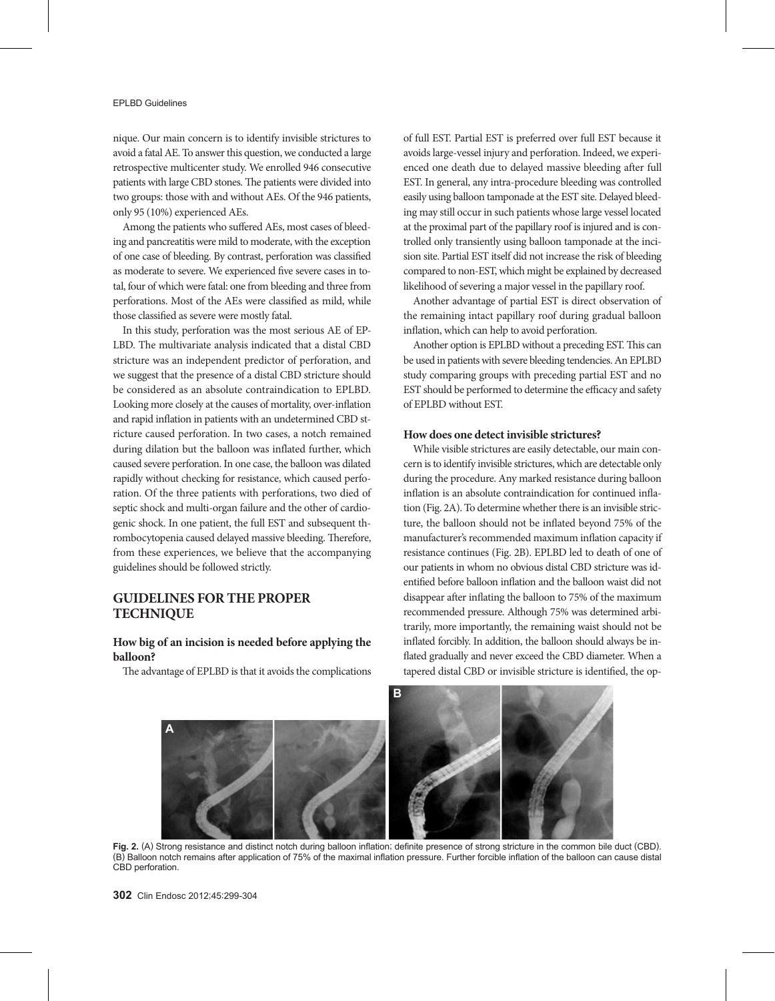nique. Our main concern is to identify invisible strictures to avoid a fatal AE. To answer this question, we conducted a large retrospective multicenter study. We enrolled 946 consecutive patients with large CBD stones. The patients were divided into two groups: those with and without AEs. Of the 946 patients, only 95 (10%) experienced AEs.

Among the patients who suffered AEs, most cases of bleeding and pancreatitis were mild to moderate, with the exception of one case of bleeding. By contrast, perforation was classified as moderate to severe. We experienced five severe cases in total, four of which were fatal: one from bleeding and three from perforations. Most of the AEs were classified as mild, while those classified as severe were mostly fatal.

In this study, perforation was the most serious AE of EP-LBD. The multivariate analysis indicated that a distal CBD stricture was an independent predictor of perforation, and we suggest that the presence of a distal CBD stricture should be considered as an absolute contraindication to EPLBD. Looking more closely at the causes of mortality, over-inflation and rapid inflation in patients with an undetermined CBD stricture caused perforation. In two cases, a notch remained during dilation but the balloon was inflated further, which caused severe perforation. In one case, the balloon was dilated rapidly without checking for resistance, which caused perforation. Of the three patients with perforations, two died of septic shock and multi-organ failure and the other of cardiogenic shock. In one patient, the full EST and subsequent thrombocytopenia caused delayed massive bleeding. Therefore, from these experiences, we believe that the accompanying guidelines should be followed strictly.

# **GUIDELINES FOR THE PROPER TECHNIQUE**

## **How big of an incision is needed before applying the balloon?**

The advantage of EPLBD is that it avoids the complications

of full EST. Partial EST is preferred over full EST because it avoids large-vessel injury and perforation. Indeed, we experienced one death due to delayed massive bleeding after full EST. In general, any intra-procedure bleeding was controlled easily using balloon tamponade at the EST site. Delayed bleeding may still occur in such patients whose large vessel located at the proximal part of the papillary roof is injured and is controlled only transiently using balloon tamponade at the incision site. Partial EST itself did not increase the risk of bleeding compared to non-EST, which might be explained by decreased likelihood of severing a major vessel in the papillary roof.

Another advantage of partial EST is direct observation of the remaining intact papillary roof during gradual balloon inflation, which can help to avoid perforation.

Another option is EPLBD without a preceding EST. This can be used in patients with severe bleeding tendencies. An EPLBD study comparing groups with preceding partial EST and no EST should be performed to determine the efficacy and safety of EPLBD without EST.

#### **How does one detect invisible strictures?**

While visible strictures are easily detectable, our main concern is to identify invisible strictures, which are detectable only during the procedure. Any marked resistance during balloon inflation is an absolute contraindication for continued inflation (Fig. 2A). To determine whether there is an invisible stricture, the balloon should not be inflated beyond 75% of the manufacturer's recommended maximum inflation capacity if resistance continues (Fig. 2B). EPLBD led to death of one of our patients in whom no obvious distal CBD stricture was identified before balloon inflation and the balloon waist did not disappear after inflating the balloon to 75% of the maximum recommended pressure. Although 75% was determined arbitrarily, more importantly, the remaining waist should not be inflated forcibly. In addition, the balloon should always be inflated gradually and never exceed the CBD diameter. When a tapered distal CBD or invisible stricture is identified, the op-



**Fig. 2.** (A) Strong resistance and distinct notch during balloon inflation; definite presence of strong stricture in the common bile duct (CBD). (B) Balloon notch remains after application of 75% of the maximal inflation pressure. Further forcible inflation of the balloon can cause distal CBD perforation.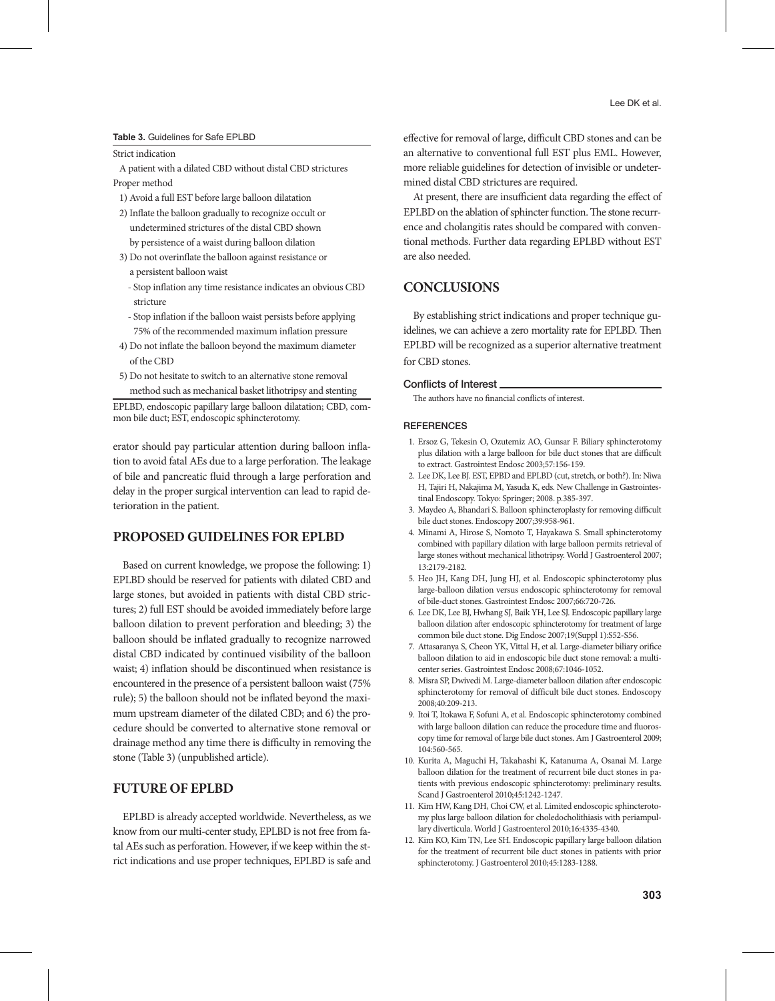#### **Table 3. Guidelines for Safe FPLBD**

#### Strict indication

 A patient with a dilated CBD without distal CBD strictures Proper method

- 1) Avoid a full EST before large balloon dilatation
- 2) Inflate the balloon gradually to recognize occult or undetermined strictures of the distal CBD shown by persistence of a waist during balloon dilation
- 3) Do not overinflate the balloon against resistance or a persistent balloon waist
	- Stop inflation any time resistance indicates an obvious CBD stricture
	- Stop inflation if the balloon waist persists before applying 75% of the recommended maximum inflation pressure
- 4) Do not inflate the balloon beyond the maximum diameter of the CBD
- 5) Do not hesitate to switch to an alternative stone removal method such as mechanical basket lithotripsy and stenting

EPLBD, endoscopic papillary large balloon dilatation; CBD, common bile duct; EST, endoscopic sphincterotomy.

erator should pay particular attention during balloon inflation to avoid fatal AEs due to a large perforation. The leakage of bile and pancreatic fluid through a large perforation and delay in the proper surgical intervention can lead to rapid deterioration in the patient.

# **PROPOSED GUIDELINES FOR EPLBD**

Based on current knowledge, we propose the following: 1) EPLBD should be reserved for patients with dilated CBD and large stones, but avoided in patients with distal CBD strictures; 2) full EST should be avoided immediately before large balloon dilation to prevent perforation and bleeding; 3) the balloon should be inflated gradually to recognize narrowed distal CBD indicated by continued visibility of the balloon waist; 4) inflation should be discontinued when resistance is encountered in the presence of a persistent balloon waist (75% rule); 5) the balloon should not be inflated beyond the maximum upstream diameter of the dilated CBD; and 6) the procedure should be converted to alternative stone removal or drainage method any time there is difficulty in removing the stone (Table 3) (unpublished article).

# **FUTURE OF EPLBD**

EPLBD is already accepted worldwide. Nevertheless, as we know from our multi-center study, EPLBD is not free from fatal AEs such as perforation. However, if we keep within the strict indications and use proper techniques, EPLBD is safe and effective for removal of large, difficult CBD stones and can be an alternative to conventional full EST plus EML. However, more reliable guidelines for detection of invisible or undetermined distal CBD strictures are required.

At present, there are insufficient data regarding the effect of EPLBD on the ablation of sphincter function. The stone recurrence and cholangitis rates should be compared with conventional methods. Further data regarding EPLBD without EST are also needed.

# **CONCLUSIONS**

By establishing strict indications and proper technique guidelines, we can achieve a zero mortality rate for EPLBD. Then EPLBD will be recognized as a superior alternative treatment for CBD stones.

#### Conflicts of Interest

The authors have no financial conflicts of interest.

#### **REFERENCES**

- 1. Ersoz G, Tekesin O, Ozutemiz AO, Gunsar F. Biliary sphincterotomy plus dilation with a large balloon for bile duct stones that are difficult to extract. Gastrointest Endosc 2003;57:156-159.
- 2. Lee DK, Lee BJ. EST, EPBD and EPLBD (cut, stretch, or both?). In: Niwa H, Tajiri H, Nakajima M, Yasuda K, eds. New Challenge in Gastrointestinal Endoscopy. Tokyo: Springer; 2008. p.385-397.
- 3. Maydeo A, Bhandari S. Balloon sphincteroplasty for removing difficult bile duct stones. Endoscopy 2007;39:958-961.
- 4. Minami A, Hirose S, Nomoto T, Hayakawa S. Small sphincterotomy combined with papillary dilation with large balloon permits retrieval of large stones without mechanical lithotripsy. World J Gastroenterol 2007; 13:2179-2182.
- 5. Heo JH, Kang DH, Jung HJ, et al. Endoscopic sphincterotomy plus large-balloon dilation versus endoscopic sphincterotomy for removal of bile-duct stones. Gastrointest Endosc 2007;66:720-726.
- 6. Lee DK, Lee BJ, Hwhang SJ, Baik YH, Lee SJ. Endoscopic papillary large balloon dilation after endoscopic sphincterotomy for treatment of large common bile duct stone. Dig Endosc 2007;19(Suppl 1):S52-S56.
- 7. Attasaranya S, Cheon YK, Vittal H, et al. Large-diameter biliary orifice balloon dilation to aid in endoscopic bile duct stone removal: a multicenter series. Gastrointest Endosc 2008;67:1046-1052.
- 8. Misra SP, Dwivedi M. Large-diameter balloon dilation after endoscopic sphincterotomy for removal of difficult bile duct stones. Endoscopy 2008;40:209-213.
- 9. Itoi T, Itokawa F, Sofuni A, et al. Endoscopic sphincterotomy combined with large balloon dilation can reduce the procedure time and fluoroscopy time for removal of large bile duct stones. Am J Gastroenterol 2009; 104:560-565.
- 10. Kurita A, Maguchi H, Takahashi K, Katanuma A, Osanai M. Large balloon dilation for the treatment of recurrent bile duct stones in patients with previous endoscopic sphincterotomy: preliminary results. Scand J Gastroenterol 2010;45:1242-1247.
- 11. Kim HW, Kang DH, Choi CW, et al. Limited endoscopic sphincterotomy plus large balloon dilation for choledocholithiasis with periampullary diverticula. World J Gastroenterol 2010;16:4335-4340.
- 12. Kim KO, Kim TN, Lee SH. Endoscopic papillary large balloon dilation for the treatment of recurrent bile duct stones in patients with prior sphincterotomy. J Gastroenterol 2010;45:1283-1288.